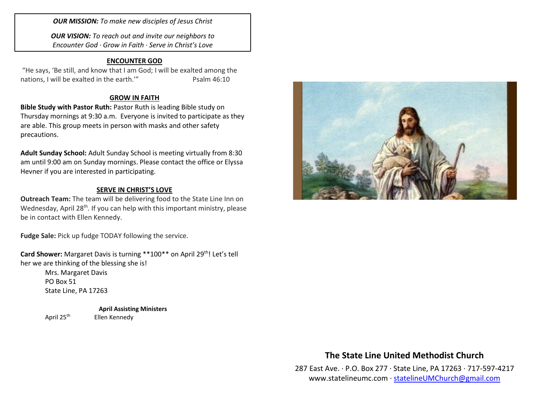*OUR MISSION: To make new disciples of Jesus Christ*

*OUR VISION: To reach out and invite our neighbors to Encounter God · Grow in Faith · Serve in Christ's Love*

#### **ENCOUNTER GOD**

"He says, 'Be still, and know that I am God; I will be exalted among the nations, I will be exalted in the earth." Psalm 46:10

#### **GROW IN FAITH**

**Bible Study with Pastor Ruth:** Pastor Ruth is leading Bible study on Thursday mornings at 9:30 a.m. Everyone is invited to participate as they are able. This group meets in person with masks and other safety precautions.

**Adult Sunday School:** Adult Sunday School is meeting virtually from 8:30 am until 9:00 am on Sunday mornings. Please contact the office or Elyssa Hevner if you are interested in participating.

#### **SERVE IN CHRIST'S LOVE**

**Outreach Team:** The team will be delivering food to the State Line Inn on Wednesday, April 28<sup>th</sup>. If you can help with this important ministry, please be in contact with Ellen Kennedy.

**Fudge Sale:** Pick up fudge TODAY following the service.

**Card Shower:** Margaret Davis is turning \*\*100\*\* on April 29<sup>th</sup>! Let's tell her we are thinking of the blessing she is!

> Mrs. Margaret Davis PO Box 51 State Line, PA 17263

**April Assisting Ministers** April 25<sup>th</sup> Ellen Kennedy



## **The State Line United Methodist Church**

287 East Ave. · P.O. Box 277 · State Line, PA 17263 · 717-597-4217 [www.statelineumc.com](http://www.statelineumc.com/) · [statelineUMChurch@gmail.com](mailto:statelineUMChurch@gmail.com)